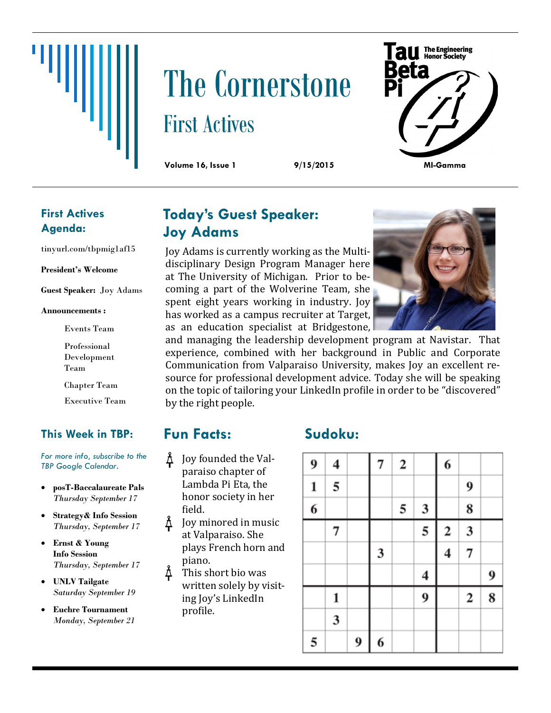# The Cornerstone First Actives



### **First Actives Agenda:**

tinyurl.com/tbpmig1af15

#### **President's Welcome**

**Guest Speaker:** Joy Adams

#### **Announcements :**

Events Team

Professional Development Team

Chapter Team

Executive Team

### **This Week in TBP:**

*For more info, subscribe to the TBP Google Calendar.*

- **posT-Baccalaureate Pals** *Thursday September 17*
- **Strategy& Info Session** *Thursday, September 17*
- **Ernst & Young Info Session** *Thursday, September 17*
- **UNLV Tailgate** *Saturday September 19*
- **Euchre Tournament** *Monday, September 21*

# **Today's Guest Speaker: Joy Adams**

Joy Adams is currently working as the Multidisciplinary Design Program Manager here at The University of Michigan. Prior to becoming a part of the Wolverine Team, she spent eight years working in industry. Joy has worked as a campus recruiter at Target, as an education specialist at Bridgestone,



and managing the leadership development program at Navistar. That experience, combined with her background in Public and Corporate Communication from Valparaiso University, makes Joy an excellent resource for professional development advice. Today she will be speaking on the topic of tailoring your LinkedIn profile in order to be "discovered" by the right people.

# **Fun Facts:**

- $\Delta$  Joy founded the Valparaiso chapter of Lambda Pi Eta, the honor society in her field.
- $\Delta$  Joy minored in music at Valparaiso. She plays French horn and piano.
- $\Delta$  This short bio was written solely by visiting Joy's LinkedIn profile.

# **Sudoku:**